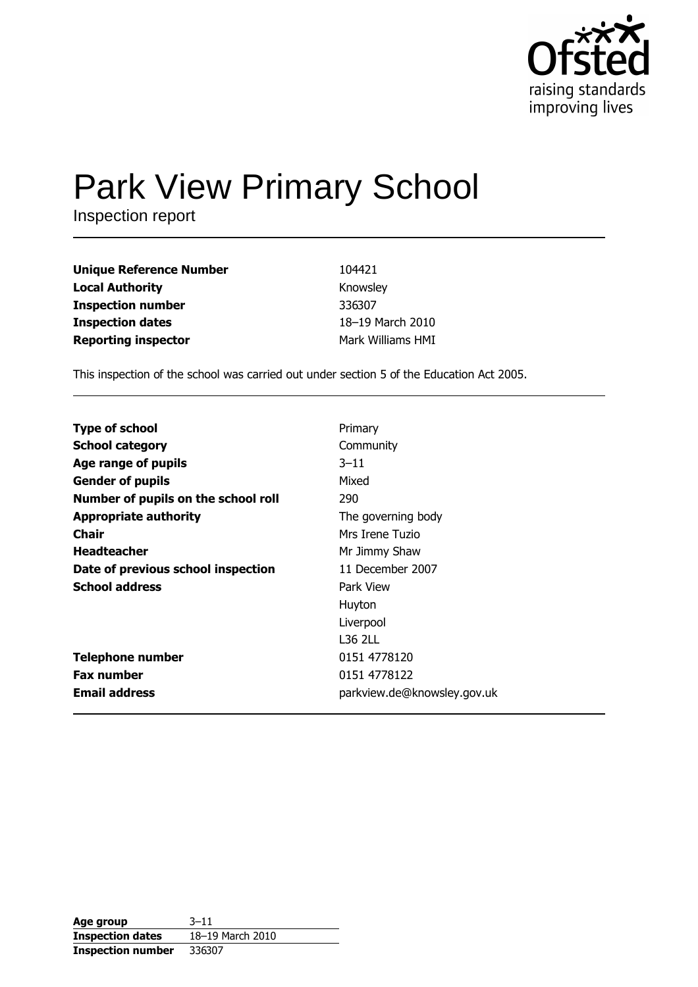

# **Park View Primary School**

Inspection report

| <b>Unique Reference Number</b> | 104421            |
|--------------------------------|-------------------|
| <b>Local Authority</b>         | Knowsley          |
| <b>Inspection number</b>       | 336307            |
| <b>Inspection dates</b>        | 18-19 March 2010  |
| <b>Reporting inspector</b>     | Mark Williams HMI |

This inspection of the school was carried out under section 5 of the Education Act 2005.

| <b>Type of school</b>               | Primary                     |
|-------------------------------------|-----------------------------|
| <b>School category</b>              | Community                   |
| Age range of pupils                 | $3 - 11$                    |
| <b>Gender of pupils</b>             | Mixed                       |
| Number of pupils on the school roll | 290                         |
| <b>Appropriate authority</b>        | The governing body          |
| <b>Chair</b>                        | Mrs Irene Tuzio             |
| <b>Headteacher</b>                  | Mr Jimmy Shaw               |
| Date of previous school inspection  | 11 December 2007            |
| <b>School address</b>               | Park View                   |
|                                     | Huyton                      |
|                                     | Liverpool                   |
|                                     | L36 2LL                     |
| <b>Telephone number</b>             | 0151 4778120                |
| <b>Fax number</b>                   | 0151 4778122                |
| <b>Email address</b>                | parkview.de@knowsley.gov.uk |

| Age group                | $3 - 11$         |
|--------------------------|------------------|
| <b>Inspection dates</b>  | 18-19 March 2010 |
| <b>Inspection number</b> | 336307           |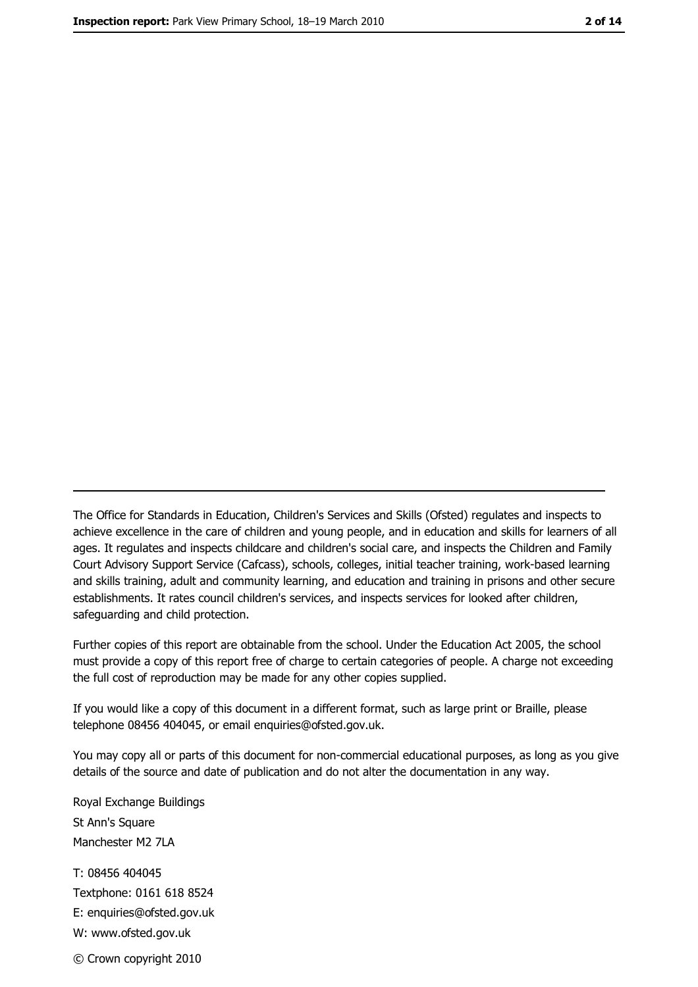The Office for Standards in Education, Children's Services and Skills (Ofsted) regulates and inspects to achieve excellence in the care of children and young people, and in education and skills for learners of all ages. It regulates and inspects childcare and children's social care, and inspects the Children and Family Court Advisory Support Service (Cafcass), schools, colleges, initial teacher training, work-based learning and skills training, adult and community learning, and education and training in prisons and other secure establishments. It rates council children's services, and inspects services for looked after children, safequarding and child protection.

Further copies of this report are obtainable from the school. Under the Education Act 2005, the school must provide a copy of this report free of charge to certain categories of people. A charge not exceeding the full cost of reproduction may be made for any other copies supplied.

If you would like a copy of this document in a different format, such as large print or Braille, please telephone 08456 404045, or email enquiries@ofsted.gov.uk.

You may copy all or parts of this document for non-commercial educational purposes, as long as you give details of the source and date of publication and do not alter the documentation in any way.

Royal Exchange Buildings St Ann's Square Manchester M2 7LA T: 08456 404045 Textphone: 0161 618 8524 E: enquiries@ofsted.gov.uk W: www.ofsted.gov.uk © Crown copyright 2010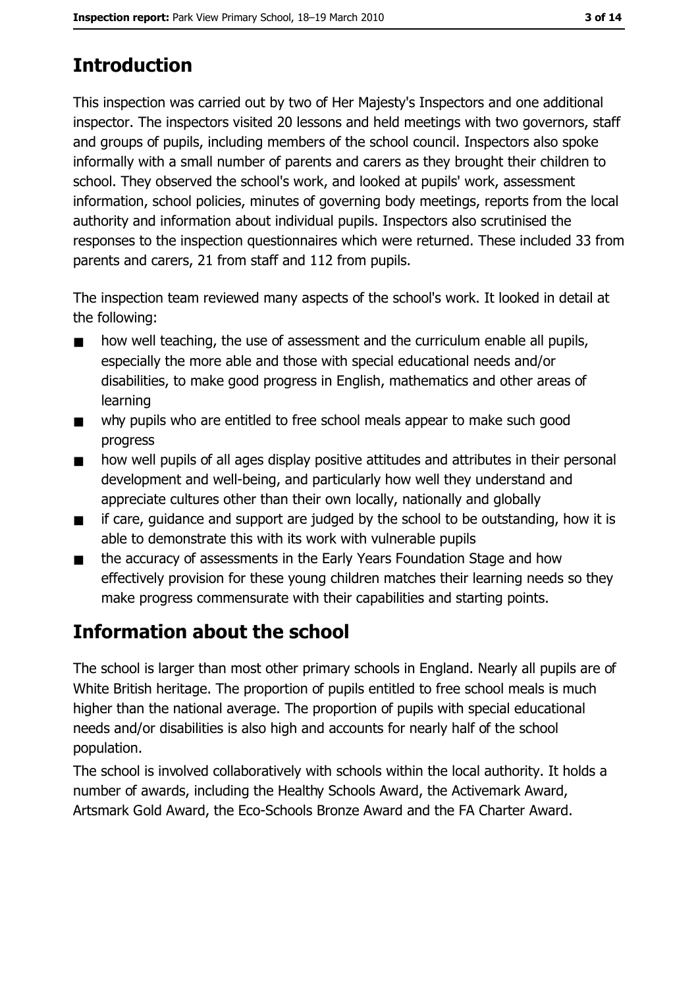# **Introduction**

This inspection was carried out by two of Her Majesty's Inspectors and one additional inspector. The inspectors visited 20 lessons and held meetings with two governors, staff and groups of pupils, including members of the school council. Inspectors also spoke informally with a small number of parents and carers as they brought their children to school. They observed the school's work, and looked at pupils' work, assessment information, school policies, minutes of governing body meetings, reports from the local authority and information about individual pupils. Inspectors also scrutinised the responses to the inspection questionnaires which were returned. These included 33 from parents and carers, 21 from staff and 112 from pupils.

The inspection team reviewed many aspects of the school's work. It looked in detail at the following:

- how well teaching, the use of assessment and the curriculum enable all pupils,  $\blacksquare$ especially the more able and those with special educational needs and/or disabilities, to make good progress in English, mathematics and other areas of learning
- why pupils who are entitled to free school meals appear to make such good  $\blacksquare$ progress
- how well pupils of all ages display positive attitudes and attributes in their personal  $\blacksquare$ development and well-being, and particularly how well they understand and appreciate cultures other than their own locally, nationally and globally
- if care, guidance and support are judged by the school to be outstanding, how it is  $\blacksquare$ able to demonstrate this with its work with vulnerable pupils
- the accuracy of assessments in the Early Years Foundation Stage and how  $\blacksquare$ effectively provision for these young children matches their learning needs so they make progress commensurate with their capabilities and starting points.

# **Information about the school**

The school is larger than most other primary schools in England. Nearly all pupils are of White British heritage. The proportion of pupils entitled to free school meals is much higher than the national average. The proportion of pupils with special educational needs and/or disabilities is also high and accounts for nearly half of the school population.

The school is involved collaboratively with schools within the local authority. It holds a number of awards, including the Healthy Schools Award, the Activemark Award, Artsmark Gold Award, the Eco-Schools Bronze Award and the FA Charter Award.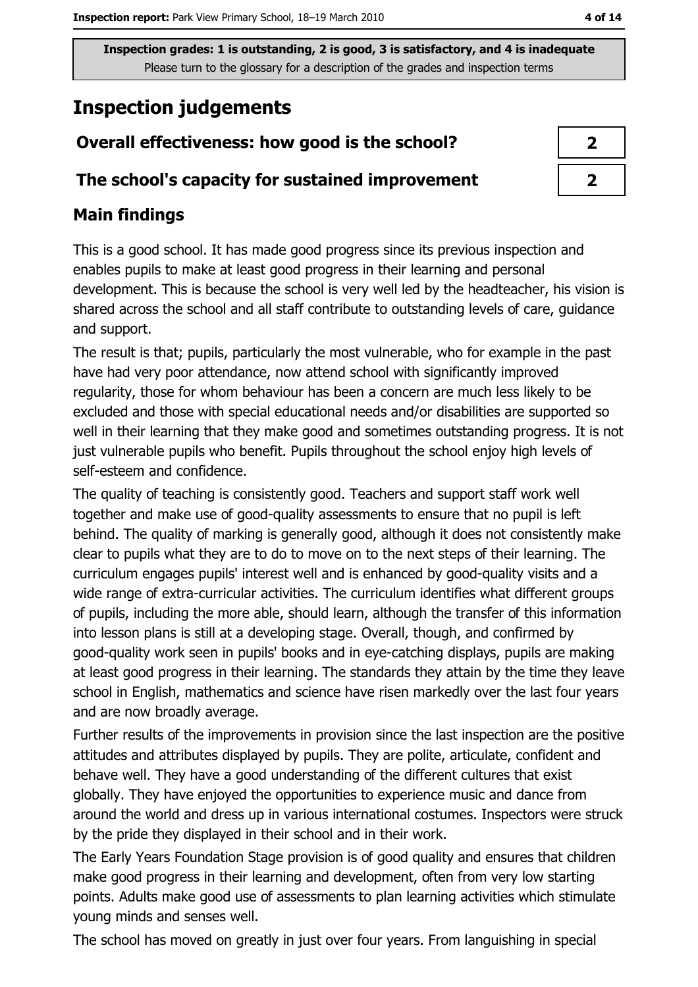# **Inspection judgements**

# Overall effectiveness: how good is the school?

### The school's capacity for sustained improvement

# **Main findings**

This is a good school. It has made good progress since its previous inspection and enables pupils to make at least good progress in their learning and personal development. This is because the school is very well led by the headteacher, his vision is shared across the school and all staff contribute to outstanding levels of care, guidance and support.

The result is that; pupils, particularly the most vulnerable, who for example in the past have had very poor attendance, now attend school with significantly improved regularity, those for whom behaviour has been a concern are much less likely to be excluded and those with special educational needs and/or disabilities are supported so well in their learning that they make good and sometimes outstanding progress. It is not just vulnerable pupils who benefit. Pupils throughout the school enjoy high levels of self-esteem and confidence.

The quality of teaching is consistently good. Teachers and support staff work well together and make use of good-quality assessments to ensure that no pupil is left behind. The quality of marking is generally good, although it does not consistently make clear to pupils what they are to do to move on to the next steps of their learning. The curriculum engages pupils' interest well and is enhanced by good-quality visits and a wide range of extra-curricular activities. The curriculum identifies what different groups of pupils, including the more able, should learn, although the transfer of this information into lesson plans is still at a developing stage. Overall, though, and confirmed by good-quality work seen in pupils' books and in eye-catching displays, pupils are making at least good progress in their learning. The standards they attain by the time they leave school in English, mathematics and science have risen markedly over the last four years and are now broadly average.

Further results of the improvements in provision since the last inspection are the positive attitudes and attributes displayed by pupils. They are polite, articulate, confident and behave well. They have a good understanding of the different cultures that exist globally. They have enjoyed the opportunities to experience music and dance from around the world and dress up in various international costumes. Inspectors were struck by the pride they displayed in their school and in their work.

The Early Years Foundation Stage provision is of good quality and ensures that children make good progress in their learning and development, often from very low starting points. Adults make good use of assessments to plan learning activities which stimulate young minds and senses well.

The school has moved on greatly in just over four years. From languishing in special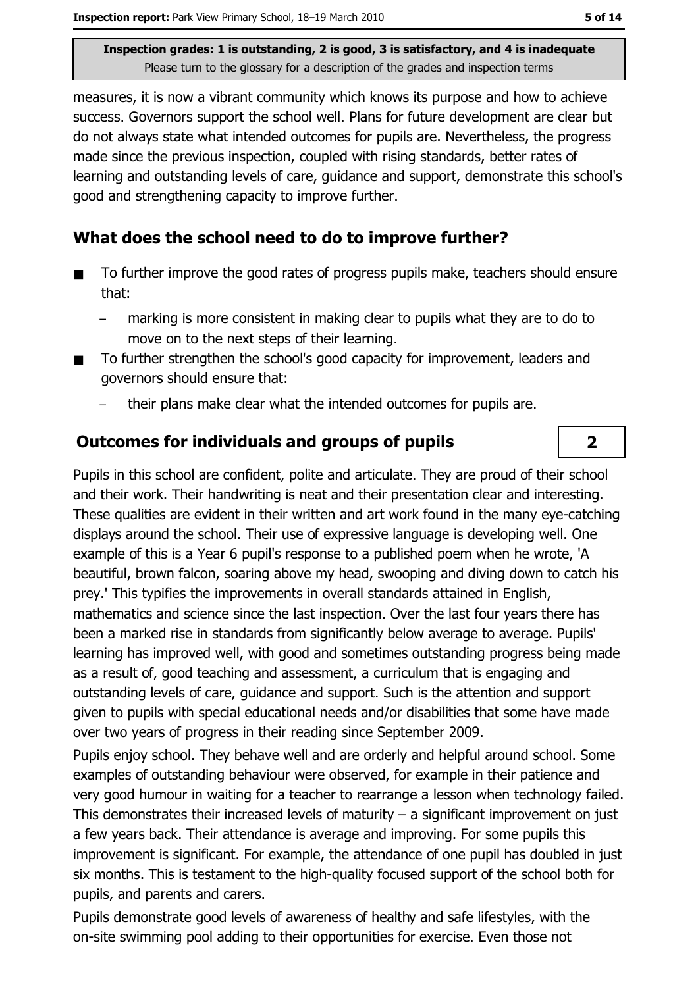measures, it is now a vibrant community which knows its purpose and how to achieve success. Governors support the school well. Plans for future development are clear but do not always state what intended outcomes for pupils are. Nevertheless, the progress made since the previous inspection, coupled with rising standards, better rates of learning and outstanding levels of care, quidance and support, demonstrate this school's good and strengthening capacity to improve further.

## What does the school need to do to improve further?

- To further improve the good rates of progress pupils make, teachers should ensure  $\blacksquare$ that:
	- marking is more consistent in making clear to pupils what they are to do to move on to the next steps of their learning.
- To further strengthen the school's good capacity for improvement, leaders and governors should ensure that:
	- their plans make clear what the intended outcomes for pupils are.

### **Outcomes for individuals and groups of pupils**

Pupils in this school are confident, polite and articulate. They are proud of their school and their work. Their handwriting is neat and their presentation clear and interesting. These qualities are evident in their written and art work found in the many eye-catching displays around the school. Their use of expressive language is developing well. One example of this is a Year 6 pupil's response to a published poem when he wrote, 'A beautiful, brown falcon, soaring above my head, swooping and diving down to catch his prey.' This typifies the improvements in overall standards attained in English, mathematics and science since the last inspection. Over the last four years there has been a marked rise in standards from significantly below average to average. Pupils' learning has improved well, with good and sometimes outstanding progress being made as a result of, good teaching and assessment, a curriculum that is engaging and outstanding levels of care, guidance and support. Such is the attention and support given to pupils with special educational needs and/or disabilities that some have made over two years of progress in their reading since September 2009.

Pupils enjoy school. They behave well and are orderly and helpful around school. Some examples of outstanding behaviour were observed, for example in their patience and very good humour in waiting for a teacher to rearrange a lesson when technology failed. This demonstrates their increased levels of maturity  $-$  a significant improvement on just a few years back. Their attendance is average and improving. For some pupils this improvement is significant. For example, the attendance of one pupil has doubled in just six months. This is testament to the high-quality focused support of the school both for pupils, and parents and carers.

Pupils demonstrate good levels of awareness of healthy and safe lifestyles, with the on-site swimming pool adding to their opportunities for exercise. Even those not

 $\overline{2}$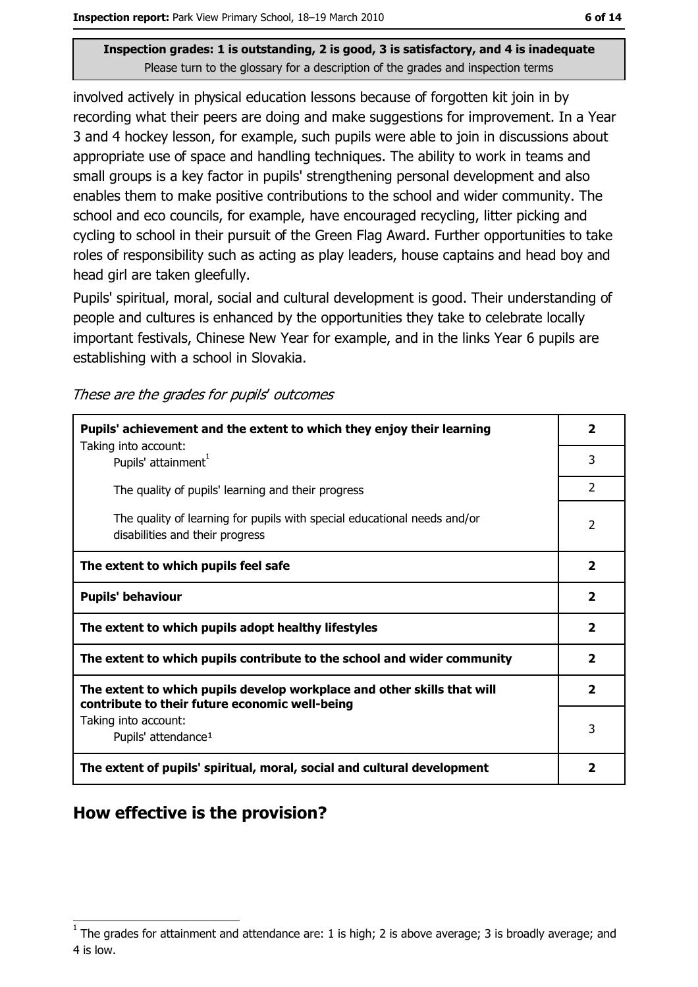involved actively in physical education lessons because of forgotten kit join in by recording what their peers are doing and make suggestions for improvement. In a Year 3 and 4 hockey lesson, for example, such pupils were able to join in discussions about appropriate use of space and handling techniques. The ability to work in teams and small groups is a key factor in pupils' strengthening personal development and also enables them to make positive contributions to the school and wider community. The school and eco councils, for example, have encouraged recycling, litter picking and cycling to school in their pursuit of the Green Flag Award. Further opportunities to take roles of responsibility such as acting as play leaders, house captains and head boy and head girl are taken gleefully.

Pupils' spiritual, moral, social and cultural development is good. Their understanding of people and cultures is enhanced by the opportunities they take to celebrate locally important festivals, Chinese New Year for example, and in the links Year 6 pupils are establishing with a school in Slovakia.

These are the grades for pupils' outcomes

| Pupils' achievement and the extent to which they enjoy their learning                                                     |                |
|---------------------------------------------------------------------------------------------------------------------------|----------------|
| Taking into account:<br>Pupils' attainment <sup>1</sup>                                                                   | 3              |
| The quality of pupils' learning and their progress                                                                        | $\overline{2}$ |
| The quality of learning for pupils with special educational needs and/or<br>disabilities and their progress               | $\overline{2}$ |
| The extent to which pupils feel safe                                                                                      |                |
| <b>Pupils' behaviour</b>                                                                                                  |                |
| The extent to which pupils adopt healthy lifestyles                                                                       |                |
| The extent to which pupils contribute to the school and wider community                                                   |                |
| The extent to which pupils develop workplace and other skills that will<br>contribute to their future economic well-being |                |
| Taking into account:                                                                                                      | 3              |
| Pupils' attendance <sup>1</sup>                                                                                           |                |
| The extent of pupils' spiritual, moral, social and cultural development                                                   |                |

### How effective is the provision?

The grades for attainment and attendance are: 1 is high; 2 is above average; 3 is broadly average; and 4 is low.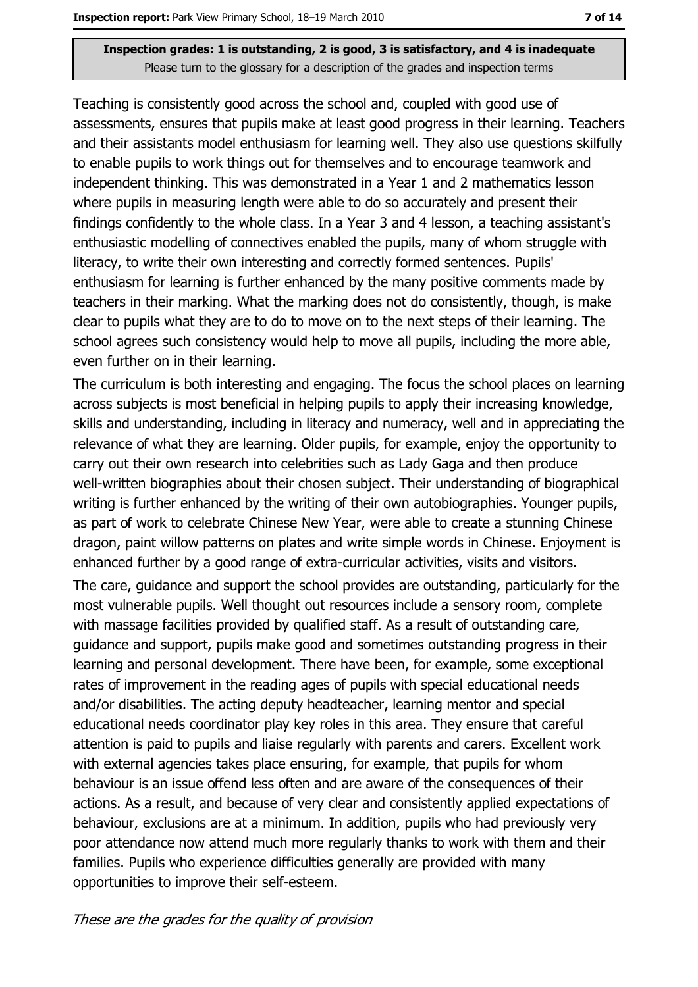Teaching is consistently good across the school and, coupled with good use of assessments, ensures that pupils make at least good progress in their learning. Teachers and their assistants model enthusiasm for learning well. They also use questions skilfully to enable pupils to work things out for themselves and to encourage teamwork and independent thinking. This was demonstrated in a Year 1 and 2 mathematics lesson where pupils in measuring length were able to do so accurately and present their findings confidently to the whole class. In a Year 3 and 4 lesson, a teaching assistant's enthusiastic modelling of connectives enabled the pupils, many of whom struggle with literacy, to write their own interesting and correctly formed sentences. Pupils' enthusiasm for learning is further enhanced by the many positive comments made by teachers in their marking. What the marking does not do consistently, though, is make clear to pupils what they are to do to move on to the next steps of their learning. The school agrees such consistency would help to move all pupils, including the more able, even further on in their learning.

The curriculum is both interesting and engaging. The focus the school places on learning across subjects is most beneficial in helping pupils to apply their increasing knowledge, skills and understanding, including in literacy and numeracy, well and in appreciating the relevance of what they are learning. Older pupils, for example, enjoy the opportunity to carry out their own research into celebrities such as Lady Gaga and then produce well-written biographies about their chosen subject. Their understanding of biographical writing is further enhanced by the writing of their own autobiographies. Younger pupils, as part of work to celebrate Chinese New Year, were able to create a stunning Chinese dragon, paint willow patterns on plates and write simple words in Chinese. Enjoyment is enhanced further by a good range of extra-curricular activities, visits and visitors.

The care, quidance and support the school provides are outstanding, particularly for the most vulnerable pupils. Well thought out resources include a sensory room, complete with massage facilities provided by qualified staff. As a result of outstanding care, quidance and support, pupils make good and sometimes outstanding progress in their learning and personal development. There have been, for example, some exceptional rates of improvement in the reading ages of pupils with special educational needs and/or disabilities. The acting deputy headteacher, learning mentor and special educational needs coordinator play key roles in this area. They ensure that careful attention is paid to pupils and liaise regularly with parents and carers. Excellent work with external agencies takes place ensuring, for example, that pupils for whom behaviour is an issue offend less often and are aware of the consequences of their actions. As a result, and because of very clear and consistently applied expectations of behaviour, exclusions are at a minimum. In addition, pupils who had previously very poor attendance now attend much more regularly thanks to work with them and their families. Pupils who experience difficulties generally are provided with many opportunities to improve their self-esteem.

#### These are the grades for the quality of provision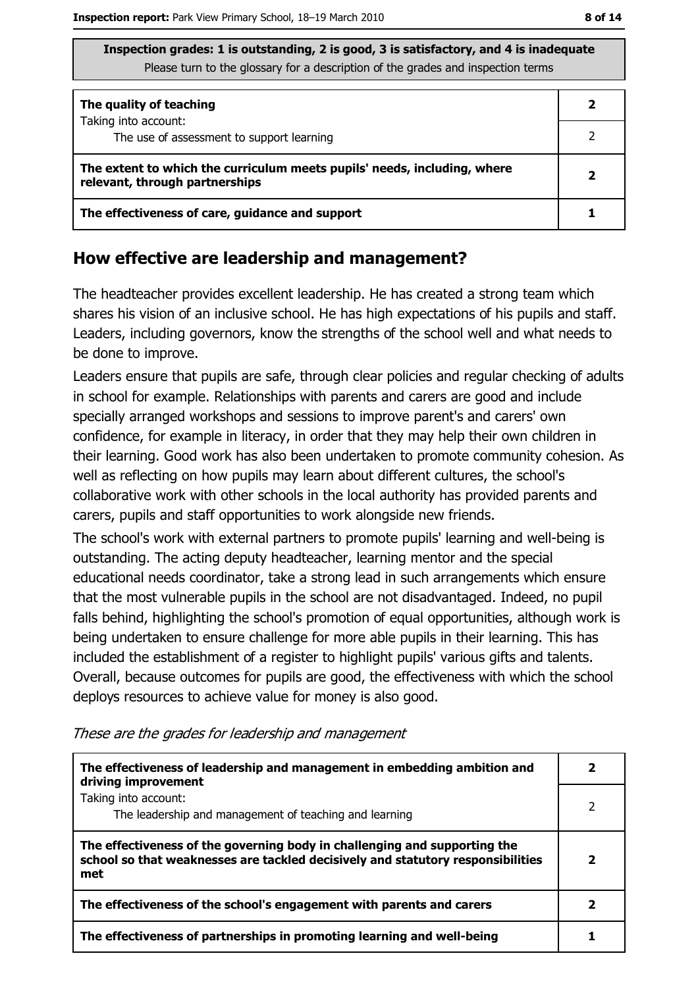| Inspection grades: 1 is outstanding, 2 is good, 3 is satisfactory, and 4 is inadequate |
|----------------------------------------------------------------------------------------|
| Please turn to the glossary for a description of the grades and inspection terms       |

| The quality of teaching                                                                                    |  |
|------------------------------------------------------------------------------------------------------------|--|
| Taking into account:<br>The use of assessment to support learning                                          |  |
|                                                                                                            |  |
| The extent to which the curriculum meets pupils' needs, including, where<br>relevant, through partnerships |  |
| The effectiveness of care, guidance and support                                                            |  |

### How effective are leadership and management?

The headteacher provides excellent leadership. He has created a strong team which shares his vision of an inclusive school. He has high expectations of his pupils and staff. Leaders, including governors, know the strengths of the school well and what needs to be done to improve.

Leaders ensure that pupils are safe, through clear policies and regular checking of adults in school for example. Relationships with parents and carers are good and include specially arranged workshops and sessions to improve parent's and carers' own confidence, for example in literacy, in order that they may help their own children in their learning. Good work has also been undertaken to promote community cohesion. As well as reflecting on how pupils may learn about different cultures, the school's collaborative work with other schools in the local authority has provided parents and carers, pupils and staff opportunities to work alongside new friends.

The school's work with external partners to promote pupils' learning and well-being is outstanding. The acting deputy headteacher, learning mentor and the special educational needs coordinator, take a strong lead in such arrangements which ensure that the most vulnerable pupils in the school are not disadvantaged. Indeed, no pupil falls behind, highlighting the school's promotion of equal opportunities, although work is being undertaken to ensure challenge for more able pupils in their learning. This has included the establishment of a register to highlight pupils' various gifts and talents. Overall, because outcomes for pupils are good, the effectiveness with which the school deploys resources to achieve value for money is also good.

| The effectiveness of leadership and management in embedding ambition and<br>driving improvement                                                                     |  |
|---------------------------------------------------------------------------------------------------------------------------------------------------------------------|--|
| Taking into account:<br>The leadership and management of teaching and learning                                                                                      |  |
| The effectiveness of the governing body in challenging and supporting the<br>school so that weaknesses are tackled decisively and statutory responsibilities<br>met |  |
| The effectiveness of the school's engagement with parents and carers                                                                                                |  |
| The effectiveness of partnerships in promoting learning and well-being                                                                                              |  |

These are the grades for leadership and management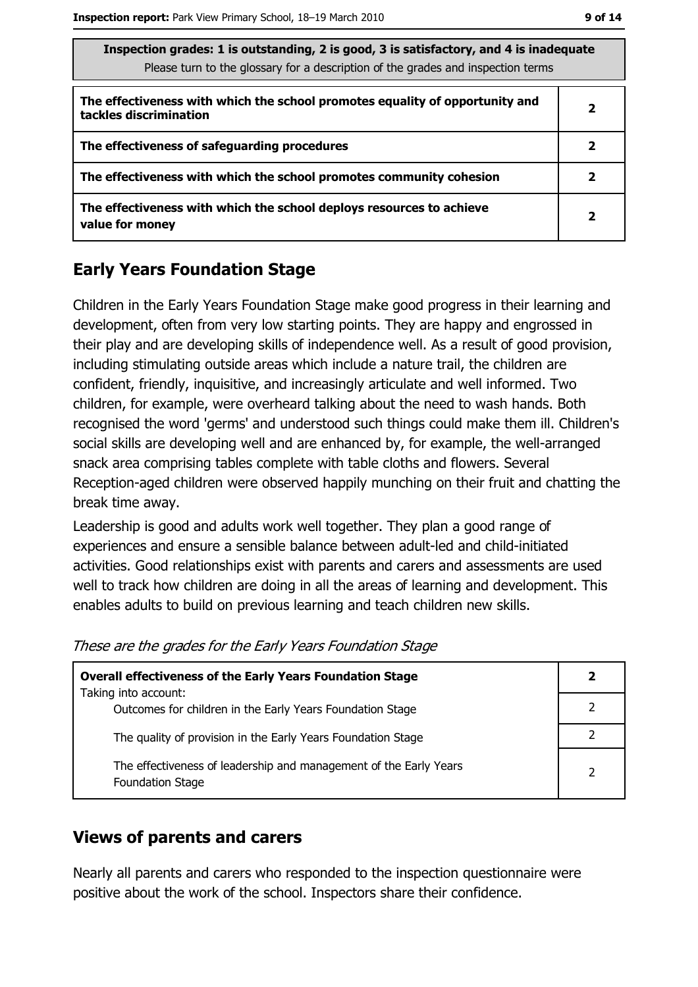| ۰. | ۰. |  |
|----|----|--|
|    |    |  |

| Inspection grades: 1 is outstanding, 2 is good, 3 is satisfactory, and 4 is inadequate<br>Please turn to the glossary for a description of the grades and inspection terms |   |  |
|----------------------------------------------------------------------------------------------------------------------------------------------------------------------------|---|--|
| The effectiveness with which the school promotes equality of opportunity and<br>tackles discrimination                                                                     | 2 |  |
| The effectiveness of safeguarding procedures                                                                                                                               | 2 |  |
| The effectiveness with which the school promotes community cohesion                                                                                                        | 2 |  |
| The effectiveness with which the school deploys resources to achieve<br>value for money                                                                                    | 2 |  |

# **Early Years Foundation Stage**

Children in the Early Years Foundation Stage make good progress in their learning and development, often from very low starting points. They are happy and engrossed in their play and are developing skills of independence well. As a result of good provision, including stimulating outside areas which include a nature trail, the children are confident, friendly, inquisitive, and increasingly articulate and well informed. Two children, for example, were overheard talking about the need to wash hands. Both recognised the word 'germs' and understood such things could make them ill. Children's social skills are developing well and are enhanced by, for example, the well-arranged snack area comprising tables complete with table cloths and flowers. Several Reception-aged children were observed happily munching on their fruit and chatting the break time away.

Leadership is good and adults work well together. They plan a good range of experiences and ensure a sensible balance between adult-led and child-initiated activities. Good relationships exist with parents and carers and assessments are used well to track how children are doing in all the areas of learning and development. This enables adults to build on previous learning and teach children new skills.

These are the grades for the Early Years Foundation Stage

| <b>Overall effectiveness of the Early Years Foundation Stage</b>                             |   |
|----------------------------------------------------------------------------------------------|---|
| Taking into account:                                                                         |   |
| Outcomes for children in the Early Years Foundation Stage                                    |   |
| The quality of provision in the Early Years Foundation Stage                                 |   |
| The effectiveness of leadership and management of the Early Years<br><b>Foundation Stage</b> | っ |

# **Views of parents and carers**

Nearly all parents and carers who responded to the inspection questionnaire were positive about the work of the school. Inspectors share their confidence.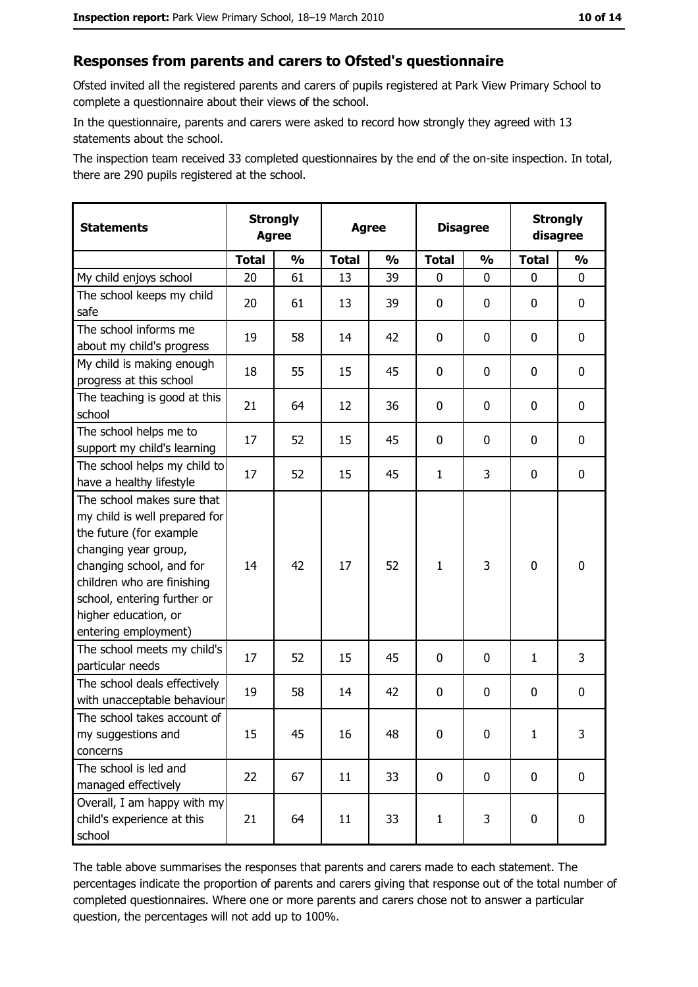#### Responses from parents and carers to Ofsted's questionnaire

Ofsted invited all the registered parents and carers of pupils registered at Park View Primary School to complete a questionnaire about their views of the school.

In the questionnaire, parents and carers were asked to record how strongly they agreed with 13 statements about the school.

The inspection team received 33 completed questionnaires by the end of the on-site inspection. In total, there are 290 pupils registered at the school.

| <b>Statements</b>                                                                                                                                                                                                                                       | <b>Strongly</b><br><b>Agree</b> |               | <b>Agree</b> |               | <b>Disagree</b> |               | <b>Strongly</b><br>disagree |               |
|---------------------------------------------------------------------------------------------------------------------------------------------------------------------------------------------------------------------------------------------------------|---------------------------------|---------------|--------------|---------------|-----------------|---------------|-----------------------------|---------------|
|                                                                                                                                                                                                                                                         | <b>Total</b>                    | $\frac{0}{0}$ | <b>Total</b> | $\frac{0}{0}$ | <b>Total</b>    | $\frac{0}{0}$ | <b>Total</b>                | $\frac{0}{0}$ |
| My child enjoys school                                                                                                                                                                                                                                  | 20                              | 61            | 13           | 39            | $\mathbf 0$     | 0             | $\mathbf{0}$                | 0             |
| The school keeps my child<br>safe                                                                                                                                                                                                                       | 20                              | 61            | 13           | 39            | $\mathbf 0$     | 0             | 0                           | 0             |
| The school informs me<br>about my child's progress                                                                                                                                                                                                      | 19                              | 58            | 14           | 42            | 0               | 0             | 0                           | 0             |
| My child is making enough<br>progress at this school                                                                                                                                                                                                    | 18                              | 55            | 15           | 45            | $\mathbf 0$     | 0             | 0                           | 0             |
| The teaching is good at this<br>school                                                                                                                                                                                                                  | 21                              | 64            | 12           | 36            | $\mathbf 0$     | 0             | 0                           | 0             |
| The school helps me to<br>support my child's learning                                                                                                                                                                                                   | 17                              | 52            | 15           | 45            | $\mathbf 0$     | 0             | 0                           | 0             |
| The school helps my child to<br>have a healthy lifestyle                                                                                                                                                                                                | 17                              | 52            | 15           | 45            | $\mathbf{1}$    | 3             | 0                           | 0             |
| The school makes sure that<br>my child is well prepared for<br>the future (for example<br>changing year group,<br>changing school, and for<br>children who are finishing<br>school, entering further or<br>higher education, or<br>entering employment) | 14                              | 42            | 17           | 52            | $\mathbf{1}$    | 3             | $\mathbf 0$                 | 0             |
| The school meets my child's<br>particular needs                                                                                                                                                                                                         | 17                              | 52            | 15           | 45            | $\mathbf 0$     | 0             | 1                           | 3             |
| The school deals effectively<br>with unacceptable behaviour                                                                                                                                                                                             | 19                              | 58            | 14           | 42            | $\mathbf 0$     | 0             | 0                           | 0             |
| The school takes account of<br>my suggestions and<br>concerns                                                                                                                                                                                           | 15                              | 45            | 16           | 48            | 0               | 0             | $\mathbf{1}$                | 3             |
| The school is led and<br>managed effectively                                                                                                                                                                                                            | 22                              | 67            | 11           | 33            | $\mathbf 0$     | 0             | 0                           | $\mathbf 0$   |
| Overall, I am happy with my<br>child's experience at this<br>school                                                                                                                                                                                     | 21                              | 64            | 11           | 33            | $\mathbf{1}$    | 3             | $\mathbf 0$                 | 0             |

The table above summarises the responses that parents and carers made to each statement. The percentages indicate the proportion of parents and carers giving that response out of the total number of completed questionnaires. Where one or more parents and carers chose not to answer a particular question, the percentages will not add up to 100%.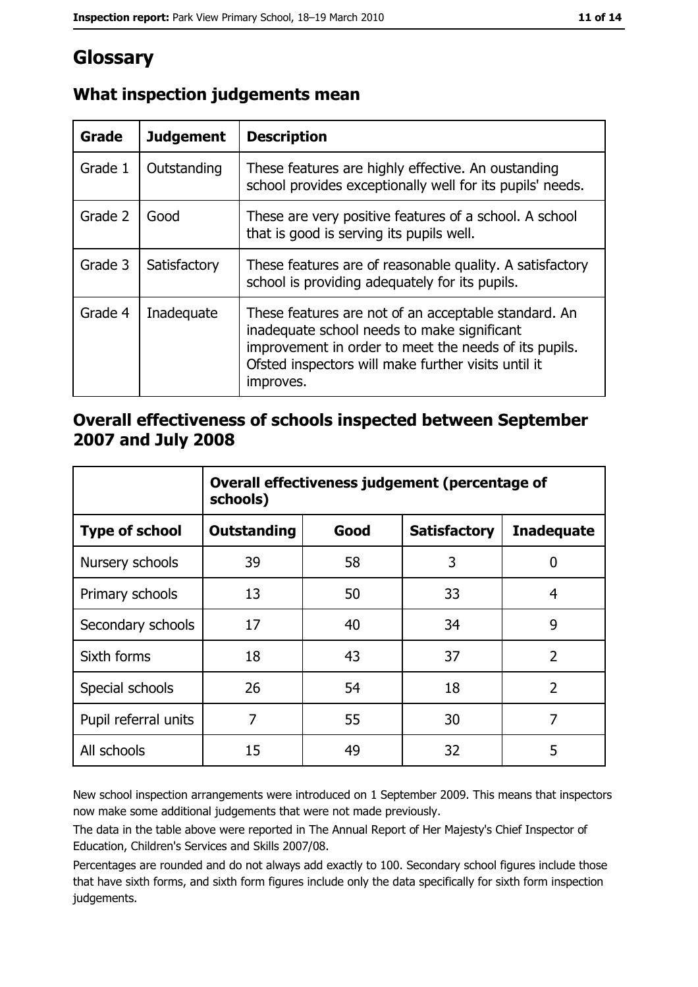# Glossary

| Grade   | <b>Judgement</b> | <b>Description</b>                                                                                                                                                                                                               |
|---------|------------------|----------------------------------------------------------------------------------------------------------------------------------------------------------------------------------------------------------------------------------|
| Grade 1 | Outstanding      | These features are highly effective. An oustanding<br>school provides exceptionally well for its pupils' needs.                                                                                                                  |
| Grade 2 | Good             | These are very positive features of a school. A school<br>that is good is serving its pupils well.                                                                                                                               |
| Grade 3 | Satisfactory     | These features are of reasonable quality. A satisfactory<br>school is providing adequately for its pupils.                                                                                                                       |
| Grade 4 | Inadequate       | These features are not of an acceptable standard. An<br>inadequate school needs to make significant<br>improvement in order to meet the needs of its pupils.<br>Ofsted inspectors will make further visits until it<br>improves. |

# What inspection judgements mean

## Overall effectiveness of schools inspected between September 2007 and July 2008

|                       | Overall effectiveness judgement (percentage of<br>schools) |      |                     |                   |
|-----------------------|------------------------------------------------------------|------|---------------------|-------------------|
| <b>Type of school</b> | <b>Outstanding</b>                                         | Good | <b>Satisfactory</b> | <b>Inadequate</b> |
| Nursery schools       | 39                                                         | 58   | 3                   | 0                 |
| Primary schools       | 13                                                         | 50   | 33                  | 4                 |
| Secondary schools     | 17                                                         | 40   | 34                  | 9                 |
| Sixth forms           | 18                                                         | 43   | 37                  | $\overline{2}$    |
| Special schools       | 26                                                         | 54   | 18                  | $\overline{2}$    |
| Pupil referral units  | 7                                                          | 55   | 30                  | 7                 |
| All schools           | 15                                                         | 49   | 32                  | 5                 |

New school inspection arrangements were introduced on 1 September 2009. This means that inspectors now make some additional judgements that were not made previously.

The data in the table above were reported in The Annual Report of Her Majesty's Chief Inspector of Education, Children's Services and Skills 2007/08.

Percentages are rounded and do not always add exactly to 100. Secondary school figures include those that have sixth forms, and sixth form figures include only the data specifically for sixth form inspection judgements.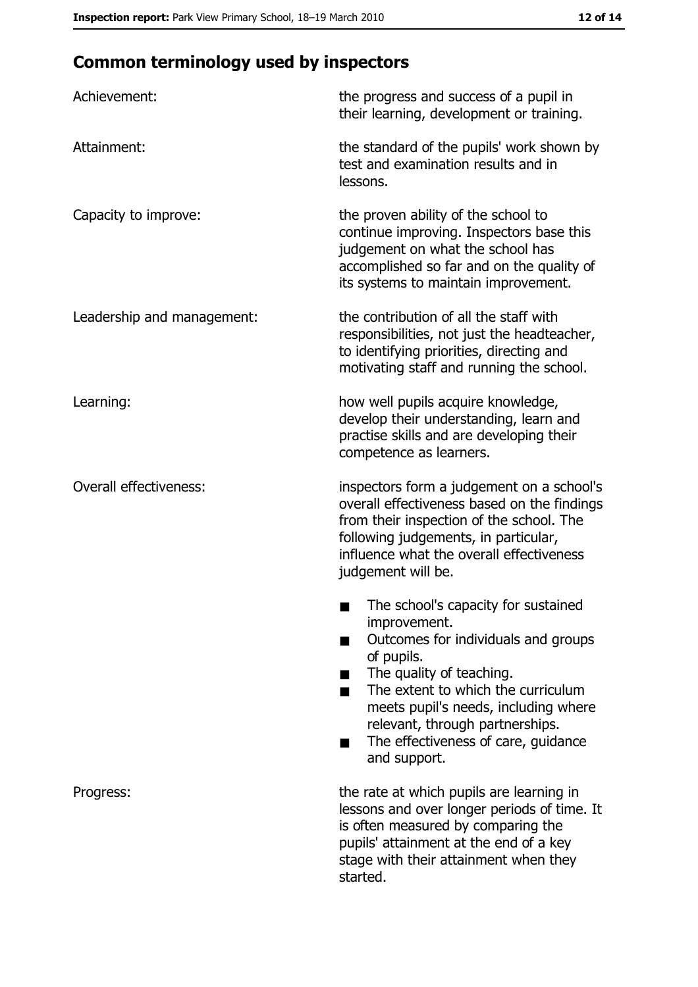# **Common terminology used by inspectors**

| Achievement:                  | the progress and success of a pupil in<br>their learning, development or training.                                                                                                                                                                                                                           |  |  |
|-------------------------------|--------------------------------------------------------------------------------------------------------------------------------------------------------------------------------------------------------------------------------------------------------------------------------------------------------------|--|--|
| Attainment:                   | the standard of the pupils' work shown by<br>test and examination results and in<br>lessons.                                                                                                                                                                                                                 |  |  |
| Capacity to improve:          | the proven ability of the school to<br>continue improving. Inspectors base this<br>judgement on what the school has<br>accomplished so far and on the quality of<br>its systems to maintain improvement.                                                                                                     |  |  |
| Leadership and management:    | the contribution of all the staff with<br>responsibilities, not just the headteacher,<br>to identifying priorities, directing and<br>motivating staff and running the school.                                                                                                                                |  |  |
| Learning:                     | how well pupils acquire knowledge,<br>develop their understanding, learn and<br>practise skills and are developing their<br>competence as learners.                                                                                                                                                          |  |  |
| <b>Overall effectiveness:</b> | inspectors form a judgement on a school's<br>overall effectiveness based on the findings<br>from their inspection of the school. The<br>following judgements, in particular,<br>influence what the overall effectiveness<br>judgement will be.                                                               |  |  |
|                               | The school's capacity for sustained<br>improvement.<br>Outcomes for individuals and groups<br>of pupils.<br>The quality of teaching.<br>The extent to which the curriculum<br>meets pupil's needs, including where<br>relevant, through partnerships.<br>The effectiveness of care, guidance<br>and support. |  |  |
| Progress:                     | the rate at which pupils are learning in<br>lessons and over longer periods of time. It<br>is often measured by comparing the<br>pupils' attainment at the end of a key<br>stage with their attainment when they<br>started.                                                                                 |  |  |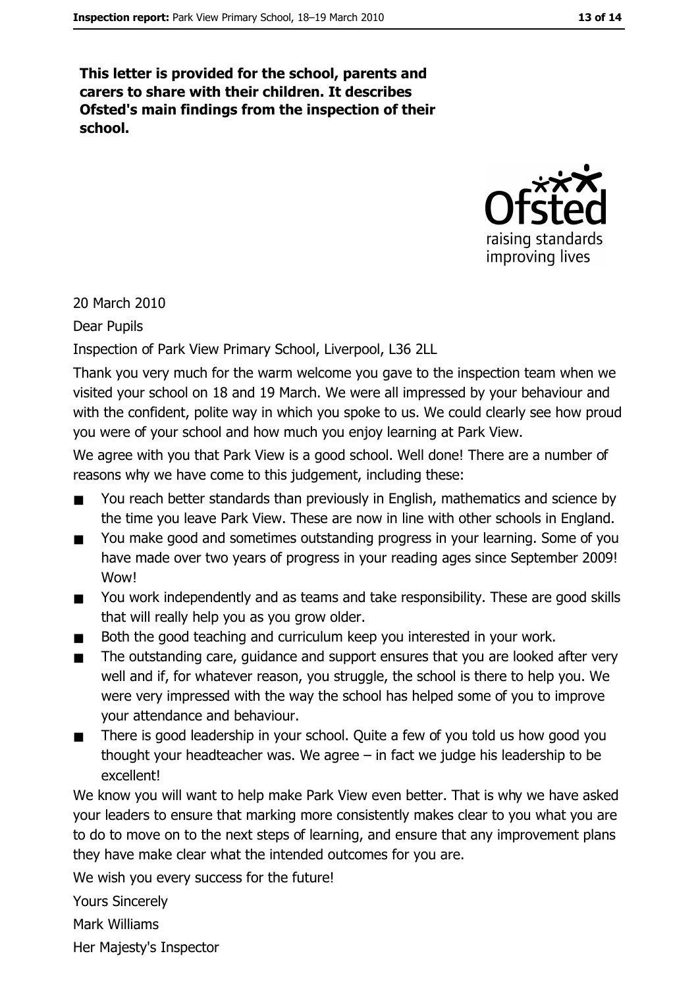This letter is provided for the school, parents and carers to share with their children. It describes Ofsted's main findings from the inspection of their school.



20 March 2010

**Dear Pupils** 

Inspection of Park View Primary School, Liverpool, L36 2LL

Thank you very much for the warm welcome you gave to the inspection team when we visited your school on 18 and 19 March. We were all impressed by your behaviour and with the confident, polite way in which you spoke to us. We could clearly see how proud you were of your school and how much you enjoy learning at Park View.

We agree with you that Park View is a good school. Well done! There are a number of reasons why we have come to this judgement, including these:

- You reach better standards than previously in English, mathematics and science by  $\blacksquare$ the time you leave Park View. These are now in line with other schools in England.
- You make good and sometimes outstanding progress in your learning. Some of you  $\blacksquare$ have made over two years of progress in your reading ages since September 2009! Wow!
- You work independently and as teams and take responsibility. These are good skills  $\blacksquare$ that will really help you as you grow older.
- Both the good teaching and curriculum keep you interested in your work.  $\blacksquare$
- The outstanding care, guidance and support ensures that you are looked after very  $\blacksquare$ well and if, for whatever reason, you struggle, the school is there to help you. We were very impressed with the way the school has helped some of you to improve vour attendance and behaviour.
- $\blacksquare$ There is good leadership in your school. Quite a few of you told us how good you thought your headteacher was. We agree  $-$  in fact we judge his leadership to be excellent!

We know you will want to help make Park View even better. That is why we have asked your leaders to ensure that marking more consistently makes clear to you what you are to do to move on to the next steps of learning, and ensure that any improvement plans they have make clear what the intended outcomes for you are.

We wish you every success for the future!

**Yours Sincerely** 

**Mark Williams** 

Her Majesty's Inspector